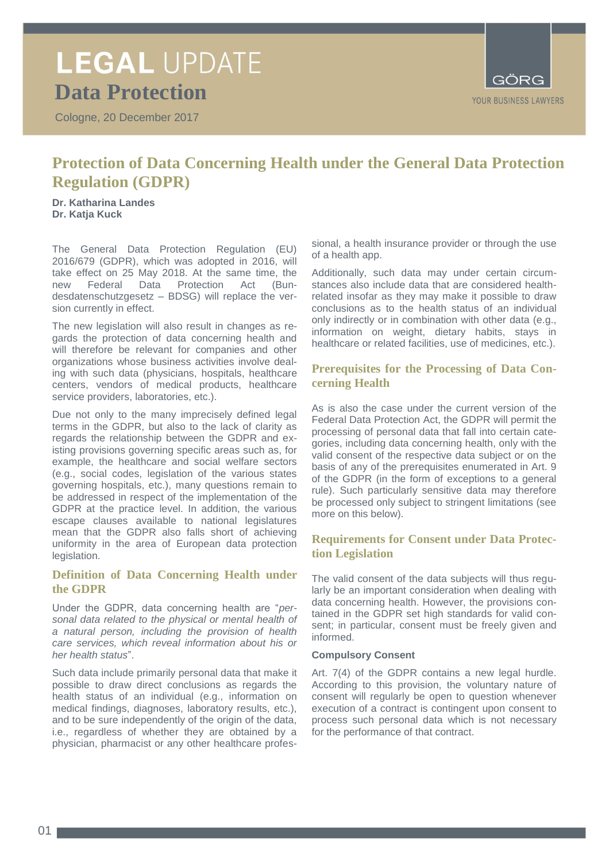# **LEGAL UPDATE Data Protection**

Cologne, 20 December 2017



# **Protection of Data Concerning Health under the General Data Protection Regulation (GDPR)**

**Dr. Katharina Landes Dr. Katja Kuck**

The General Data Protection Regulation (EU) 2016/679 (GDPR), which was adopted in 2016, will take effect on 25 May 2018. At the same time, the new Federal Data Protection Act (Bun-Protection Act desdatenschutzgesetz – BDSG) will replace the version currently in effect.

The new legislation will also result in changes as regards the protection of data concerning health and will therefore be relevant for companies and other organizations whose business activities involve dealing with such data (physicians, hospitals, healthcare centers, vendors of medical products, healthcare service providers, laboratories, etc.).

Due not only to the many imprecisely defined legal terms in the GDPR, but also to the lack of clarity as regards the relationship between the GDPR and existing provisions governing specific areas such as, for example, the healthcare and social welfare sectors (e.g., social codes, legislation of the various states governing hospitals, etc.), many questions remain to be addressed in respect of the implementation of the GDPR at the practice level. In addition, the various escape clauses available to national legislatures mean that the GDPR also falls short of achieving uniformity in the area of European data protection legislation.

### **Definition of Data Concerning Health under the GDPR**

Under the GDPR, data concerning health are "*personal data related to the physical or mental health of a natural person, including the provision of health care services, which reveal information about his or her health status*".

Such data include primarily personal data that make it possible to draw direct conclusions as regards the health status of an individual (e.g., information on medical findings, diagnoses, laboratory results, etc.), and to be sure independently of the origin of the data, i.e., regardless of whether they are obtained by a physician, pharmacist or any other healthcare profes-

sional, a health insurance provider or through the use of a health app.

Additionally, such data may under certain circumstances also include data that are considered healthrelated insofar as they may make it possible to draw conclusions as to the health status of an individual only indirectly or in combination with other data (e.g., information on weight, dietary habits, stays in healthcare or related facilities, use of medicines, etc.).

# **Prerequisites for the Processing of Data Concerning Health**

As is also the case under the current version of the Federal Data Protection Act, the GDPR will permit the processing of personal data that fall into certain categories, including data concerning health, only with the valid consent of the respective data subject or on the basis of any of the prerequisites enumerated in Art. 9 of the GDPR (in the form of exceptions to a general rule). Such particularly sensitive data may therefore be processed only subject to stringent limitations (see more on this below).

# **Requirements for Consent under Data Protection Legislation**

The valid consent of the data subjects will thus regularly be an important consideration when dealing with data concerning health. However, the provisions contained in the GDPR set high standards for valid consent; in particular, consent must be freely given and informed.

### **Compulsory Consent**

Art. 7(4) of the GDPR contains a new legal hurdle. According to this provision, the voluntary nature of consent will regularly be open to question whenever execution of a contract is contingent upon consent to process such personal data which is not necessary for the performance of that contract.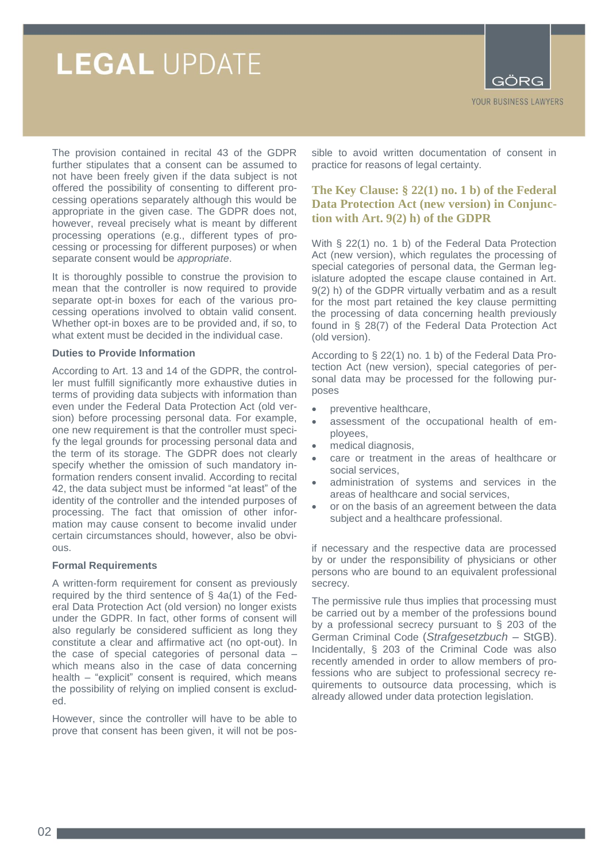# **LEGAL UPDATE**



The provision contained in recital 43 of the GDPR further stipulates that a consent can be assumed to not have been freely given if the data subject is not offered the possibility of consenting to different processing operations separately although this would be appropriate in the given case. The GDPR does not, however, reveal precisely what is meant by different processing operations (e.g., different types of processing or processing for different purposes) or when separate consent would be *appropriate*.

It is thoroughly possible to construe the provision to mean that the controller is now required to provide separate opt-in boxes for each of the various processing operations involved to obtain valid consent. Whether opt-in boxes are to be provided and, if so, to what extent must be decided in the individual case.

### **Duties to Provide Information**

According to Art. 13 and 14 of the GDPR, the controller must fulfill significantly more exhaustive duties in terms of providing data subjects with information than even under the Federal Data Protection Act (old version) before processing personal data. For example, one new requirement is that the controller must specify the legal grounds for processing personal data and the term of its storage. The GDPR does not clearly specify whether the omission of such mandatory information renders consent invalid. According to recital 42, the data subject must be informed "at least" of the identity of the controller and the intended purposes of processing. The fact that omission of other information may cause consent to become invalid under certain circumstances should, however, also be obvious.

### **Formal Requirements**

A written-form requirement for consent as previously required by the third sentence of § 4a(1) of the Federal Data Protection Act (old version) no longer exists under the GDPR. In fact, other forms of consent will also regularly be considered sufficient as long they constitute a clear and affirmative act (no opt-out). In the case of special categories of personal data – which means also in the case of data concerning health – "explicit" consent is required, which means the possibility of relying on implied consent is excluded.

However, since the controller will have to be able to prove that consent has been given, it will not be pos-

sible to avoid written documentation of consent in practice for reasons of legal certainty.

# **The Key Clause: § 22(1) no. 1 b) of the Federal Data Protection Act (new version) in Conjunction with Art. 9(2) h) of the GDPR**

With § 22(1) no. 1 b) of the Federal Data Protection Act (new version), which regulates the processing of special categories of personal data, the German legislature adopted the escape clause contained in Art. 9(2) h) of the GDPR virtually verbatim and as a result for the most part retained the key clause permitting the processing of data concerning health previously found in § 28(7) of the Federal Data Protection Act (old version).

According to § 22(1) no. 1 b) of the Federal Data Protection Act (new version), special categories of personal data may be processed for the following purposes

- preventive healthcare,
- assessment of the occupational health of employees,
- medical diagnosis,
- care or treatment in the areas of healthcare or social services,
- administration of systems and services in the areas of healthcare and social services,
- or on the basis of an agreement between the data subject and a healthcare professional.

if necessary and the respective data are processed by or under the responsibility of physicians or other persons who are bound to an equivalent professional secrecy.

The permissive rule thus implies that processing must be carried out by a member of the professions bound by a professional secrecy pursuant to § 203 of the German Criminal Code (*Strafgesetzbuch* – StGB). Incidentally, § 203 of the Criminal Code was also recently amended in order to allow members of professions who are subject to professional secrecy requirements to outsource data processing, which is already allowed under data protection legislation.